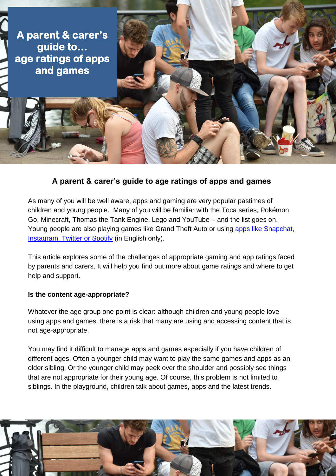

# **A parent & carer's guide to age ratings of apps and games**

As many of you will be well aware, apps and gaming are very popular pastimes of children and young people. Many of you will be familiar with the Toca series, Pokémon Go, Minecraft, Thomas the Tank Engine, Lego and YouTube – and the list goes on. Young people are also playing games like Grand Theft Auto or using apps like [Snapchat,](http://uk.businessinsider.com/teens-favorite-apps-in-2016-2016-1?r=UK&IR=T#spotify-was-almost-universally-heralded-as-the-best-music-app-and-it-was-also-listed-as-a-favorite-app-by-a-lot-of-respondents-4)  [Instagram, Twitter](http://uk.businessinsider.com/teens-favorite-apps-in-2016-2016-1?r=UK&IR=T#spotify-was-almost-universally-heralded-as-the-best-music-app-and-it-was-also-listed-as-a-favorite-app-by-a-lot-of-respondents-4) or Spotify (in English only).

This article explores some of the challenges of appropriate gaming and app ratings faced by parents and carers. It will help you find out more about game ratings and where to get help and support.

#### **Is the content age-appropriate?**

Whatever the age group one point is clear: although children and young people love using apps and games, there is a risk that many are using and accessing content that is not age-appropriate.

You may find it difficult to manage apps and games especially if you have children of different ages. Often a younger child may want to play the same games and apps as an older sibling. Or the younger child may peek over the shoulder and possibly see things that are not appropriate for their young age. Of course, this problem is not limited to siblings. In the playground, children talk about games, apps and the latest trends.

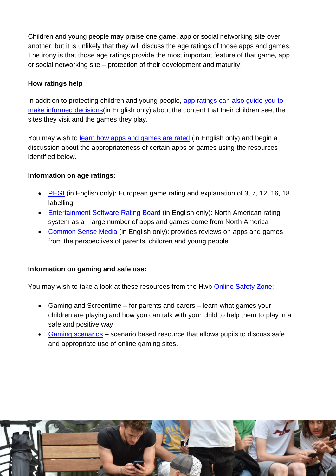Children and young people may praise one game, app or social networking site over another, but it is unlikely that they will discuss the age ratings of those apps and games. The irony is that those age ratings provide the most important feature of that game, app or social networking site – protection of their development and maturity.

#### **How ratings help**

In addition to protecting children and young people, app ratings can also guide you to [make informed decisions\(](https://www.internetmatters.org/hub/expert-opinion/how-do-you-rate-age-ratings-on-apps/)in English only) about the content that their children see, the sites they visit and the games they play.

You may wish to [learn how apps and games are rated](https://www.saferinternet.org.uk/blog/how-are-age-ratings-apps-and-games-rated) (in English only) and begin a discussion about the appropriateness of certain apps or games using the resources identified below.

### **Information on age ratings:**

- [PEGI](http://www.pegi.info/en/index/id/33/) (in English only): European game rating and explanation of 3, 7, 12, 16, 18 labelling
- [Entertainment Software Rating Board](http://www.esrb.org/about/resources.aspx) (in English only): North American rating system as a large number of apps and games come from North America
- [Common Sense Media](https://www.commonsensemedia.org/reviews) (in English only): provides reviews on apps and games from the perspectives of parents, children and young people

# **Information on gaming and safe use:**

You may wish to take a look at these resources from the Hwb [Online Safety Zone:](https://hwb.wales.gov.uk/onlinesafety)

- Gaming and Screentime for parents and carers learn what games your children are playing and how you can talk with your child to help them to play in a safe and positive way
- [Gaming scenarios](https://hwb.wales.gov.uk/onlinesafety/repository/resource/538ec328-7cb7-4858-833a-b0209252c02b/en) scenario based resource that allows pupils to discuss safe and appropriate use of online gaming sites.